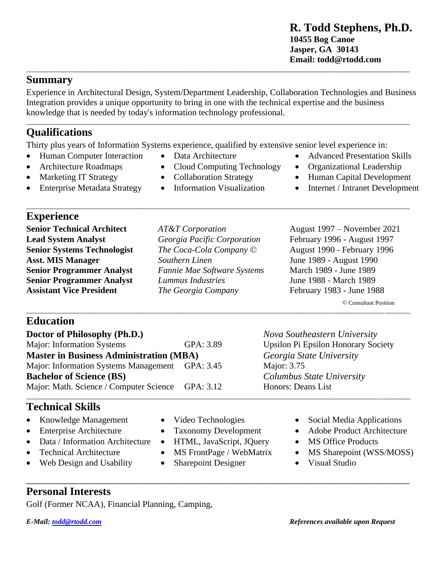### **Summary**

Experience in Architectural Design, System/Department Leadership, Collaboration Technologies and Business Integration provides a unique opportunity to bring in one with the technical expertise and the business knowledge that is needed by today's information technology professional.

\_\_\_\_\_\_\_\_\_\_\_\_\_\_\_\_\_\_\_\_\_\_\_\_\_\_\_\_\_\_\_\_\_\_\_\_\_\_\_\_\_\_\_\_\_\_\_\_\_\_\_\_\_\_\_\_\_\_\_\_\_\_\_\_\_\_\_\_\_\_\_\_\_\_\_\_\_\_\_\_\_\_\_\_\_\_\_\_\_\_\_\_\_\_\_\_\_\_\_\_\_\_\_\_\_

# **Qualifications**

Thirty plus years of Information Systems experience, qualified by extensive senior level experience in:

- Human Computer Interaction Data Architecture Advanced Presentation Skills
- 
- 
- Enterprise Metadata Strategy Information Visualization Internet / Intranet Development
- 
- 
- -

\_\_\_\_\_\_\_\_\_\_\_\_\_\_\_\_\_\_\_\_\_\_\_\_\_\_\_\_\_\_\_\_\_\_\_\_\_\_\_\_\_\_\_\_\_\_\_\_\_\_\_\_\_\_\_\_\_\_\_\_\_\_\_\_\_\_\_\_\_\_\_\_\_\_\_\_\_\_\_\_\_\_\_\_\_\_\_\_\_\_\_\_\_\_\_\_\_\_\_\_\_\_\_\_\_

- **Senior Technical Architect** *AT&T Corporation* August 1997 November 2021
	-

## **Education**

**Experience**

| Doctor of Philosophy (Ph.D.)                      |           | Nova Southeastern University               |
|---------------------------------------------------|-----------|--------------------------------------------|
| Major: Information Systems                        | GPA: 3.89 | <b>Upsilon Pi Epsilon Honorary Society</b> |
| <b>Master in Business Administration (MBA)</b>    |           | Georgia State University                   |
| Major: Information Systems Management GPA: 3.45   |           | Major: 3.75                                |
| <b>Bachelor of Science (BS)</b>                   |           | Columbus State University                  |
| Major: Math. Science / Computer Science GPA: 3.12 |           | Honors: Deans List                         |
|                                                   |           |                                            |

## **Technical Skills**

- 
- 
- Data / Information Architecture HTML, JavaScript, JQuery MS Office Products
- 
- **Web Design and Usability Sharepoint Designer** Visual Studio
- 
- 
- 
- 

*\_\_\_\_\_\_\_\_\_\_\_\_\_\_\_\_\_\_\_\_\_\_\_\_\_\_\_\_\_\_\_\_\_\_\_\_\_\_\_\_\_\_\_\_\_\_\_\_\_\_\_\_\_\_\_\_\_\_\_\_\_\_\_\_\_\_\_\_\_\_\_\_\_\_\_\_\_\_\_\_\_\_\_\_\_\_\_\_\_\_\_\_\_\_\_\_\_\_\_\_\_\_\_\_\_*

- 
- Knowledge Management Video Technologies Social Media Applications
- Enterprise Architecture Taxonomy Development Adobe Product Architecture
	-
- Technical Architecture MS FrontPage / WebMatrix MS Sharepoint (WSS/MOSS)
	-

**Personal Interests**

Golf (Former NCAA), Financial Planning, Camping,

- Architecture Roadmaps Cloud Computing Technology Organizational Leadership • Marketing IT Strategy • Collaboration Strategy • Human Capital Development
	-
- **Lead System Analyst** *Georgia Pacific Corporation* February 1996 August 1997 **Senior Systems Technologist** *The Coca-Cola Company* © August 1990 - February 1996 **Asst. MIS Manager** *Southern Linen* June 1989 - August 1990 **Senior Programmer Analyst** *Fannie Mae Software Systems* March 1989 - June 1989 **Senior Programmer Analyst** *Lummus Industries* June 1988 - March 1989 **Assistant Vice President** *The Georgia Company* February 1983 - June 1988

© Consultant Position \_\_\_\_\_\_\_\_\_\_\_\_\_\_\_\_\_\_\_\_\_\_\_\_\_\_\_\_\_\_\_\_\_\_\_\_\_\_\_\_\_\_\_\_\_\_\_\_\_\_\_\_\_\_\_\_\_\_\_\_\_\_\_\_\_\_\_\_\_\_\_\_\_\_\_\_\_\_\_\_\_\_\_\_\_\_\_\_\_\_\_\_\_\_\_\_\_\_\_\_\_\_\_\_\_  $Nova$  Southeastern University